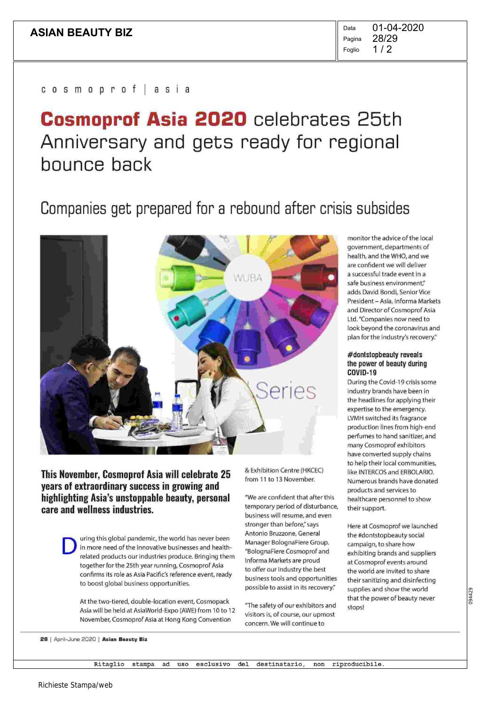$1/2$ Pagina Foglio 01-04-2020 28/29

c o s m o p r o f j a s i a

# Cosmoprof Asia 2020 celebrates 25th Anniversary and gets ready for regional bounce back

# Companies get prepared for a rebound after crisis subsides



This November, Cosmoprof Asia will celebrate 25 years of extraordinary success in growing and highlighting Asia's unstoppable beauty, personal care and wellness industries.

> D uring this global pandemic, the world has never been in more need of the innovative businesses and healthrelated products our industries produce. Bringing them together for the 25th year running, Cosmoprof Asia confirms its role as Asia Pacific's reference event, ready to boost global business opportunities.

At the two-tiered, double-location event, Cosmopack Asia will be held at AsiaWorld-Expo (AWE) from 10 to 12 November, Cosmoprof Asia at Hong Kong Convention

& Exhibition Centre (HKCEC) from 11 to 13 November.

"We are confident that after this temporary period of disturbance, business will resume, and even stronger than before," says Antonio Bruzzone, General Manager BolognaFiere Group. "BolognaFiere Cosmoprof and Informa Markets are proud to offer our industry the best business tools and opportunities possible to assist in its recovery"

"The safety of our exhibitors and visitors is, of course, our upmost concern. We will continue to

monitor the advice of the local government, departments of health, and the WHO, and we are confident we will deliver a successful trade event in a safe business environment," adds David Bondi, Senior Vice President — Asia, Informa Markets and Director of Cosmoprof Asia Ltd. "Companies now need to look beyond the coronavirus and plan for the industry's recovery."

#### #dontstopbeauty reveals the power of beauty during COVID-19

During the Covid-19 crisis some industry brands have been in the headlines for applying their expertise to the emergency. LVMH switched its fragrance production lines from high-end perfumes to hand sanitizer, and many Cosmoprof exhibitors have converted supply chains to help their local communities, like INTERCOS and ERBOLARIO. Numerous brands have donated products and services to healthcare personnel to show their support.

Here at Cosmoprof we launched the #dontstopbeauty social campaign, to share how exhibiting brands and suppliers at Cosmoprof events around the world are invited to share their sanitizing and disinfecting supplies and show the world that the power of beauty never stops!

28 | April-June 2020 | Asian Beauty Biz

Ritaglio stampa ad uso esclusivo del destinatario, non riproducibile.

Richieste Stampa/web